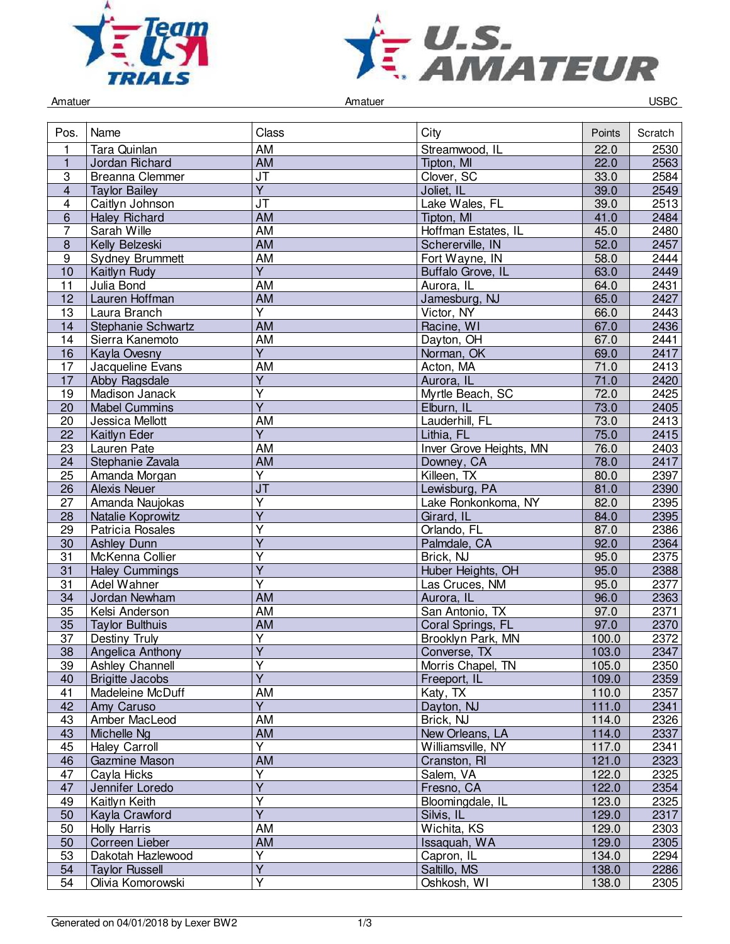



Amatuer Controller Controller Amatuer Amatuer Controller Controller Controller Controller Controller Controller

| Pos.                    | Name                   | Class                        | City                    | Points | Scratch |
|-------------------------|------------------------|------------------------------|-------------------------|--------|---------|
| 1                       | Tara Quinlan           | AM                           | Streamwood, IL          | 22.0   | 2530    |
| $\mathbf{1}$            | Jordan Richard         | $\overline{AM}$              | Tipton, MI              | 22.0   | 2563    |
| 3                       | <b>Breanna Clemmer</b> | J <sub>T</sub>               | Clover, SC              | 33.0   | 2584    |
| $\overline{\mathbf{4}}$ | <b>Taylor Bailey</b>   | $\overline{Y}$               | Joliet, IL              | 39.0   | 2549    |
| 4                       | Caitlyn Johnson        | JT                           | Lake Wales, FL          | 39.0   | 2513    |
| 6                       | <b>Haley Richard</b>   | AM                           | Tipton, MI              | 41.0   | 2484    |
| 7                       | Sarah Wille            | AM                           | Hoffman Estates, IL     | 45.0   | 2480    |
| 8                       | Kelly Belzeski         | AM                           | Schererville, IN        | 52.0   | 2457    |
| $\boldsymbol{9}$        | <b>Sydney Brummett</b> | AM                           | Fort Wayne, IN          | 58.0   | 2444    |
| 10                      | Kaitlyn Rudy           | $\overline{Y}$               | Buffalo Grove, IL       | 63.0   | 2449    |
| 11                      | Julia Bond             | <b>AM</b>                    | Aurora, IL              | 64.0   | 2431    |
| 12                      | Lauren Hoffman         | <b>AM</b>                    | Jamesburg, NJ           | 65.0   | 2427    |
| 13                      | Laura Branch           | $\overline{Y}$               | Victor, NY              | 66.0   | 2443    |
| 14                      | Stephanie Schwartz     | $\overline{AM}$              | Racine, WI              | 67.0   | 2436    |
| 14                      | Sierra Kanemoto        | AM                           | Dayton, OH              | 67.0   | 2441    |
| 16                      | Kayla Ovesny           | $\overline{Y}$               | Norman, OK              | 69.0   | 2417    |
| 17                      | Jacqueline Evans       | AM                           | Acton, MA               | 71.0   | 2413    |
|                         |                        |                              |                         |        |         |
| 17                      | Abby Ragsdale          | Υ<br>$\overline{\mathsf{Y}}$ | Aurora, IL              | 71.0   | 2420    |
| 19                      | Madison Janack         |                              | Myrtle Beach, SC        | 72.0   | 2425    |
| 20                      | <b>Mabel Cummins</b>   | $\overline{Y}$               | Elburn, IL              | 73.0   | 2405    |
| 20                      | Jessica Mellott        | AM                           | Lauderhill, FL          | 73.0   | 2413    |
| 22                      | <b>Kaitlyn Eder</b>    | $\overline{Y}$               | Lithia, FL              | 75.0   | 2415    |
| 23                      | Lauren Pate            | AM                           | Inver Grove Heights, MN | 76.0   | 2403    |
| 24                      | Stephanie Zavala       | <b>AM</b>                    | Downey, CA              | 78.0   | 2417    |
| 25                      | Amanda Morgan          | $\overline{Y}$               | Killeen, TX             | 80.0   | 2397    |
| 26                      | <b>Alexis Neuer</b>    | J <sub>T</sub>               | Lewisburg, PA           | 81.0   | 2390    |
| 27                      | Amanda Naujokas        | Υ                            | Lake Ronkonkoma, NY     | 82.0   | 2395    |
| 28                      | Natalie Koprowitz      | Υ                            | Girard, IL              | 84.0   | 2395    |
| 29                      | Patricia Rosales       | $\overline{\mathsf{Y}}$      | Orlando, FL             | 87.0   | 2386    |
| 30                      | <b>Ashley Dunn</b>     | $\overline{\mathsf{Y}}$      | Palmdale, CA            | 92.0   | 2364    |
| 31                      | McKenna Collier        | $\overline{Y}$               | Brick, NJ               | 95.0   | 2375    |
| 31                      | <b>Haley Cummings</b>  | $\overline{\mathsf{Y}}$      | Huber Heights, OH       | 95.0   | 2388    |
| 31                      | Adel Wahner            | Y                            | Las Cruces, NM          | 95.0   | 2377    |
| 34                      | Jordan Newham          | <b>AM</b>                    | Aurora, IL              | 96.0   | 2363    |
| 35                      | Kelsi Anderson         | <b>AM</b>                    | San Antonio, TX         | 97.0   | 2371    |
| 35                      | <b>Taylor Bulthuis</b> | <b>AM</b>                    | Coral Springs, FL       | 97.0   | 2370    |
| 37                      | Destiny Truly          | $\overline{\mathsf{Y}}$      | Brooklyn Park, MN       | 100.0  | 2372    |
| 38                      | Angelica Anthony       | $\overline{\mathsf{Y}}$      | Converse, TX            | 103.0  | 2347    |
| 39                      | Ashley Channell        | Y                            | Morris Chapel, TN       | 105.0  | 2350    |
| 40                      | <b>Brigitte Jacobs</b> | $\overline{Y}$               | Freeport, IL            | 109.0  | 2359    |
| $\overline{41}$         | Madeleine McDuff       | <b>AM</b>                    | Katy, TX                | 110.0  | 2357    |
| 42                      | Amy Caruso             | $\overline{Y}$               | Dayton, NJ              | 111.0  | 2341    |
| 43                      | Amber MacLeod          | AM                           | Brick, NJ               | 114.0  | 2326    |
|                         |                        | AM                           |                         | 114.0  | 2337    |
| 43                      | Michelle Ng            | $\overline{Y}$               | New Orleans, LA         |        |         |
| 45                      | <b>Haley Carroll</b>   |                              | Williamsville, NY       | 117.0  | 2341    |
| 46                      | Gazmine Mason          | AM                           | Cranston, RI            | 121.0  | 2323    |
| 47                      | Cayla Hicks            | Υ                            | Salem, VA               | 122.0  | 2325    |
| 47                      | Jennifer Loredo        | $\overline{\mathsf{Y}}$      | Fresno, CA              | 122.0  | 2354    |
| 49                      | Kaitlyn Keith          | Y                            | Bloomingdale, IL        | 123.0  | 2325    |
| 50                      | Kayla Crawford         | $\overline{Y}$               | Silvis, IL              | 129.0  | 2317    |
| 50                      | <b>Holly Harris</b>    | <b>AM</b>                    | Wichita, KS             | 129.0  | 2303    |
| 50                      | Correen Lieber         | <b>AM</b>                    | Issaquah, WA            | 129.0  | 2305    |
| 53                      | Dakotah Hazlewood      | $\overline{\mathsf{Y}}$      | Capron, IL              | 134.0  | 2294    |
| 54                      | <b>Taylor Russell</b>  | $\overline{\mathsf{Y}}$      | Saltillo, MS            | 138.0  | 2286    |
| 54                      | Olivia Komorowski      | $\overline{Y}$               | Oshkosh, WI             | 138.0  | 2305    |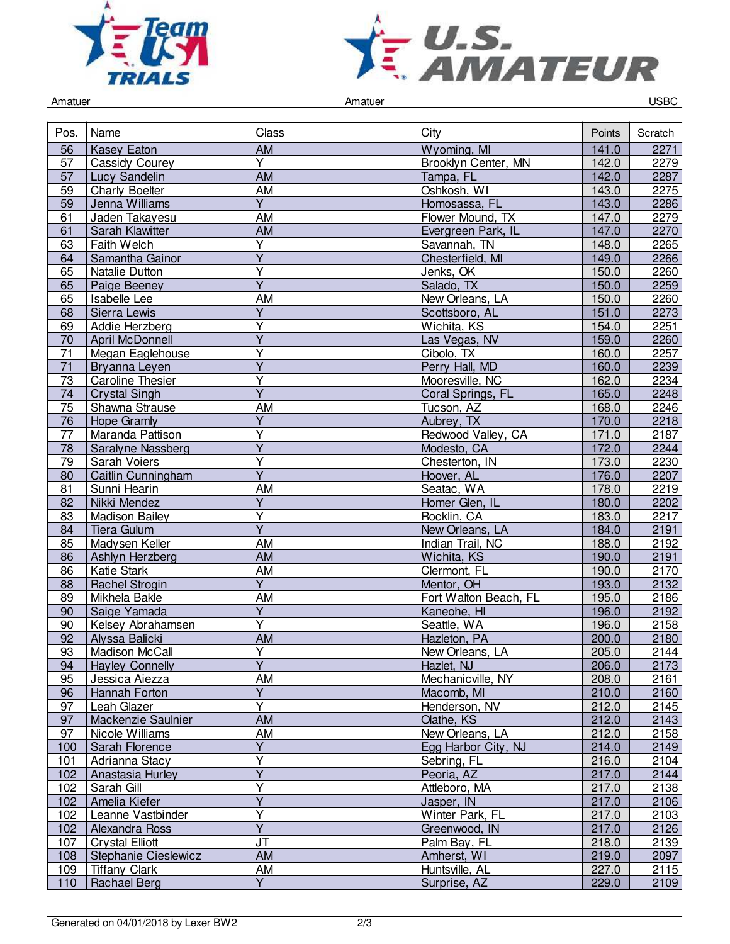



Amatuer Controller Controller Amatuer Amatuer Controller Controller Controller Controller Controller Controller

| Pos.            | Name                    | Class                   | City                  | Points | Scratch |
|-----------------|-------------------------|-------------------------|-----------------------|--------|---------|
| 56              | <b>Kasey Eaton</b>      | AM                      | Wyoming, MI           | 141.0  | 2271    |
| 57              | <b>Cassidy Courey</b>   | Y                       | Brooklyn Center, MN   | 142.0  | 2279    |
| 57              | Lucy Sandelin           | <b>AM</b>               | Tampa, FL             | 142.0  | 2287    |
| 59              | <b>Charly Boelter</b>   | <b>AM</b>               | Oshkosh, WI           | 143.0  | 2275    |
| 59              | Jenna Williams          | $\overline{Y}$          | Homosassa, FL         | 143.0  | 2286    |
| 61              | Jaden Takayesu          | AM                      | Flower Mound, TX      | 147.0  | 2279    |
| 61              | Sarah Klawitter         | AM                      | Evergreen Park, IL    | 147.0  | 2270    |
| 63              | Faith Welch             | $\overline{Y}$          | Savannah, TN          | 148.0  | 2265    |
| 64              | Samantha Gainor         | Υ                       | Chesterfield, MI      | 149.0  | 2266    |
| 65              | Natalie Dutton          | Y                       | Jenks, OK             | 150.0  | 2260    |
| 65              | Paige Beeney            | $\overline{Y}$          | Salado, TX            | 150.0  | 2259    |
| 65              | Isabelle Lee            | AM                      | New Orleans, LA       | 150.0  | 2260    |
| 68              | Sierra Lewis            | Ÿ                       | Scottsboro, AL        | 151.0  | 2273    |
| 69              | Addie Herzberg          | $\overline{\mathsf{Y}}$ | Wichita, KS           | 154.0  | 2251    |
| 70              | <b>April McDonnell</b>  | $\overline{Y}$          | Las Vegas, NV         | 159.0  | 2260    |
| 71              | Megan Eaglehouse        | $\overline{\mathsf{Y}}$ | Cibolo, TX            | 160.0  | 2257    |
| $\overline{71}$ | Bryanna Leyen           | $\overline{Y}$          | Perry Hall, MD        | 160.0  | 2239    |
| 73              | <b>Caroline Thesier</b> | Υ                       | Mooresville, NC       | 162.0  | 2234    |
| 74              | <b>Crystal Singh</b>    | Υ                       | Coral Springs, FL     | 165.0  | 2248    |
| $\overline{75}$ | Shawna Strause          | AM                      | Tucson, AZ            | 168.0  | 2246    |
| 76              | <b>Hope Gramly</b>      | Ÿ                       | Aubrey, TX            | 170.0  | 2218    |
| 77              | Maranda Pattison        | Y                       | Redwood Valley, CA    | 171.0  | 2187    |
| 78              | Saralyne Nassberg       | $\overline{\mathsf{Y}}$ | Modesto, CA           | 172.0  | 2244    |
| 79              | Sarah Voiers            | $\overline{\mathsf{Y}}$ | Chesterton, IN        | 173.0  | 2230    |
| 80              | Caitlin Cunningham      | $\overline{Y}$          | Hoover, AL            | 176.0  | 2207    |
| 81              | Sunni Hearin            | AM                      | Seatac, WA            | 178.0  | 2219    |
| 82              | Nikki Mendez            | $\overline{Y}$          | Homer Glen, IL        | 180.0  | 2202    |
| 83              | <b>Madison Bailey</b>   | Ÿ                       | Rocklin, CA           | 183.0  | 2217    |
| 84              | <b>Tiera Gulum</b>      | $\overline{Y}$          | New Orleans, LA       | 184.0  | 2191    |
| 85              | Madysen Keller          | AM                      | Indian Trail, NC      | 188.0  | 2192    |
| 86              | Ashlyn Herzberg         | AM                      | Wichita, KS           | 190.0  | 2191    |
| 86              | <b>Katie Stark</b>      | AM                      | Clermont, FL          | 190.0  | 2170    |
| 88              | Rachel Strogin          | $\overline{\mathsf{Y}}$ | Mentor, OH            | 193.0  | 2132    |
| 89              | Mikhela Bakle           | AM                      | Fort Walton Beach, FL | 195.0  | 2186    |
| 90              | Saige Yamada            | $\overline{\mathsf{Y}}$ | Kaneohe, HI           | 196.0  | 2192    |
| 90              | Kelsey Abrahamsen       | $\overline{Y}$          | Seattle, WA           | 196.0  | 2158    |
| 92              | Alyssa Balicki          | <b>AM</b>               | Hazleton, PA          | 200.0  | 2180    |
| 93              | Madison McCall          | $\overline{Y}$          | New Orleans, LA       | 205.0  | 2144    |
| 94              | <b>Hayley Connelly</b>  | $\overline{Y}$          | Hazlet, NJ            | 206.0  | 2173    |
| 95              | Jessica Aiezza          | AM                      | Mechanicville, NY     | 208.0  | 2161    |
| 96              | Hannah Forton           | Y                       | Macomb, MI            | 210.0  | 2160    |
| 97              | Leah Glazer             | $\overline{Y}$          | Henderson, NV         | 212.0  | 2145    |
| 97              | Mackenzie Saulnier      | AM                      | Olathe, KS            | 212.0  | 2143    |
| 97              | Nicole Williams         | AM                      | New Orleans, LA       | 212.0  | 2158    |
| 100             | Sarah Florence          | $\overline{Y}$          | Egg Harbor City, NJ   | 214.0  | 2149    |
| 101             | Adrianna Stacy          | $\overline{\mathsf{Y}}$ | Sebring, FL           | 216.0  | 2104    |
| 102             | Anastasia Hurley        | Ÿ                       | Peoria, AZ            | 217.0  | 2144    |
| 102             | Sarah Gill              | Ý                       | Attleboro, MA         | 217.0  | 2138    |
| 102             | Amelia Kiefer           | Υ                       | Jasper, IN            | 217.0  | 2106    |
| 102             | Leanne Vastbinder       | $\overline{\mathsf{Y}}$ | Winter Park, FL       | 217.0  | 2103    |
| 102             | Alexandra Ross          | $\overline{Y}$          | Greenwood, IN         | 217.0  | 2126    |
| 107             | <b>Crystal Elliott</b>  | J <sub>T</sub>          | Palm Bay, FL          | 218.0  | 2139    |
| 108             | Stephanie Cieslewicz    | <b>AM</b>               | Amherst, WI           | 219.0  | 2097    |
| 109             | <b>Tiffany Clark</b>    | AM                      | Huntsville, AL        | 227.0  | 2115    |
| 110             | Rachael Berg            | $\overline{Y}$          | Surprise, AZ          | 229.0  | 2109    |